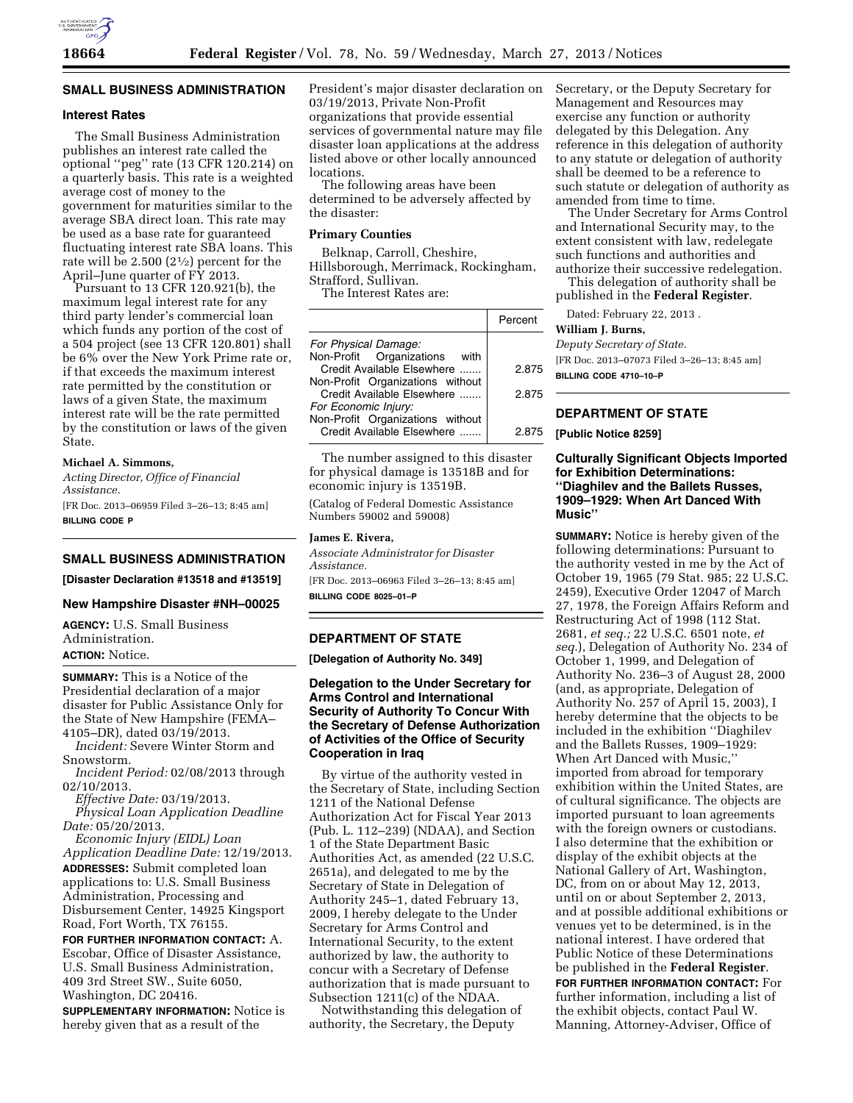

## **SMALL BUSINESS ADMINISTRATION**

## **Interest Rates**

The Small Business Administration publishes an interest rate called the optional ''peg'' rate (13 CFR 120.214) on a quarterly basis. This rate is a weighted average cost of money to the government for maturities similar to the average SBA direct loan. This rate may be used as a base rate for guaranteed fluctuating interest rate SBA loans. This rate will be 2.500  $(2\frac{1}{2})$  percent for the April–June quarter of FY 2013.

Pursuant to 13 CFR 120.921(b), the maximum legal interest rate for any third party lender's commercial loan which funds any portion of the cost of a 504 project (see 13 CFR 120.801) shall be 6% over the New York Prime rate or, if that exceeds the maximum interest rate permitted by the constitution or laws of a given State, the maximum interest rate will be the rate permitted by the constitution or laws of the given State.

#### **Michael A. Simmons,**

*Acting Director, Office of Financial Assistance.*  [FR Doc. 2013–06959 Filed 3–26–13; 8:45 am]

**BILLING CODE P** 

## **SMALL BUSINESS ADMINISTRATION**

**[Disaster Declaration #13518 and #13519]** 

## **New Hampshire Disaster #NH–00025**

**AGENCY:** U.S. Small Business Administration. **ACTION:** Notice.

**SUMMARY:** This is a Notice of the Presidential declaration of a major disaster for Public Assistance Only for the State of New Hampshire (FEMA– 4105–DR), dated 03/19/2013.

*Incident:* Severe Winter Storm and Snowstorm.

*Incident Period:* 02/08/2013 through 02/10/2013.

*Effective Date:* 03/19/2013.

*Physical Loan Application Deadline Date:* 05/20/2013.

*Economic Injury (EIDL) Loan Application Deadline Date:* 12/19/2013. **ADDRESSES:** Submit completed loan applications to: U.S. Small Business Administration, Processing and Disbursement Center, 14925 Kingsport Road, Fort Worth, TX 76155.

**FOR FURTHER INFORMATION CONTACT:** A. Escobar, Office of Disaster Assistance, U.S. Small Business Administration, 409 3rd Street SW., Suite 6050, Washington, DC 20416.

**SUPPLEMENTARY INFORMATION:** Notice is hereby given that as a result of the

President's major disaster declaration on 03/19/2013, Private Non-Profit organizations that provide essential services of governmental nature may file disaster loan applications at the address listed above or other locally announced locations.

The following areas have been determined to be adversely affected by the disaster:

#### **Primary Counties**

Belknap, Carroll, Cheshire, Hillsborough, Merrimack, Rockingham, Strafford, Sullivan.

The Interest Rates are:

|                                  | Percent |
|----------------------------------|---------|
| For Physical Damage:             |         |
| Non-Profit Organizations with    |         |
| Credit Available Elsewhere       | 2.875   |
| Non-Profit Organizations without |         |
| Credit Available Elsewhere       | 2.875   |
| For Economic Injury:             |         |
| Non-Profit Organizations without |         |
| Credit Available Elsewhere       | 2.875   |

The number assigned to this disaster for physical damage is 13518B and for economic injury is 13519B.

(Catalog of Federal Domestic Assistance Numbers 59002 and 59008)

### **James E. Rivera,**

*Associate Administrator for Disaster Assistance.* 

[FR Doc. 2013–06963 Filed 3–26–13; 8:45 am] **BILLING CODE 8025–01–P** 

#### **DEPARTMENT OF STATE**

**[Delegation of Authority No. 349]** 

### **Delegation to the Under Secretary for Arms Control and International Security of Authority To Concur With the Secretary of Defense Authorization of Activities of the Office of Security Cooperation in Iraq**

By virtue of the authority vested in the Secretary of State, including Section 1211 of the National Defense Authorization Act for Fiscal Year 2013 (Pub. L. 112–239) (NDAA), and Section 1 of the State Department Basic Authorities Act, as amended (22 U.S.C. 2651a), and delegated to me by the Secretary of State in Delegation of Authority 245–1, dated February 13, 2009, I hereby delegate to the Under Secretary for Arms Control and International Security, to the extent authorized by law, the authority to concur with a Secretary of Defense authorization that is made pursuant to Subsection 1211(c) of the NDAA.

Notwithstanding this delegation of authority, the Secretary, the Deputy

Secretary, or the Deputy Secretary for Management and Resources may exercise any function or authority delegated by this Delegation. Any reference in this delegation of authority to any statute or delegation of authority shall be deemed to be a reference to such statute or delegation of authority as amended from time to time.

The Under Secretary for Arms Control and International Security may, to the extent consistent with law, redelegate such functions and authorities and authorize their successive redelegation.

This delegation of authority shall be published in the **Federal Register**.

Dated: February 22, 2013 .

### **William J. Burns,**

*Deputy Secretary of State.* 

[FR Doc. 2013–07073 Filed 3–26–13; 8:45 am]

**BILLING CODE 4710–10–P** 

# **DEPARTMENT OF STATE**

### **[Public Notice 8259]**

## **Culturally Significant Objects Imported for Exhibition Determinations: ''Diaghilev and the Ballets Russes, 1909–1929: When Art Danced With Music''**

**SUMMARY:** Notice is hereby given of the following determinations: Pursuant to the authority vested in me by the Act of October 19, 1965 (79 Stat. 985; 22 U.S.C. 2459), Executive Order 12047 of March 27, 1978, the Foreign Affairs Reform and Restructuring Act of 1998 (112 Stat. 2681, *et seq.;* 22 U.S.C. 6501 note, *et seq.*), Delegation of Authority No. 234 of October 1, 1999, and Delegation of Authority No. 236–3 of August 28, 2000 (and, as appropriate, Delegation of Authority No. 257 of April 15, 2003), I hereby determine that the objects to be included in the exhibition ''Diaghilev and the Ballets Russes, 1909–1929: When Art Danced with Music,'' imported from abroad for temporary exhibition within the United States, are of cultural significance. The objects are imported pursuant to loan agreements with the foreign owners or custodians. I also determine that the exhibition or display of the exhibit objects at the National Gallery of Art, Washington, DC, from on or about May 12, 2013, until on or about September 2, 2013, and at possible additional exhibitions or venues yet to be determined, is in the national interest. I have ordered that Public Notice of these Determinations be published in the **Federal Register**. **FOR FURTHER INFORMATION CONTACT:** For further information, including a list of

the exhibit objects, contact Paul W. Manning, Attorney-Adviser, Office of